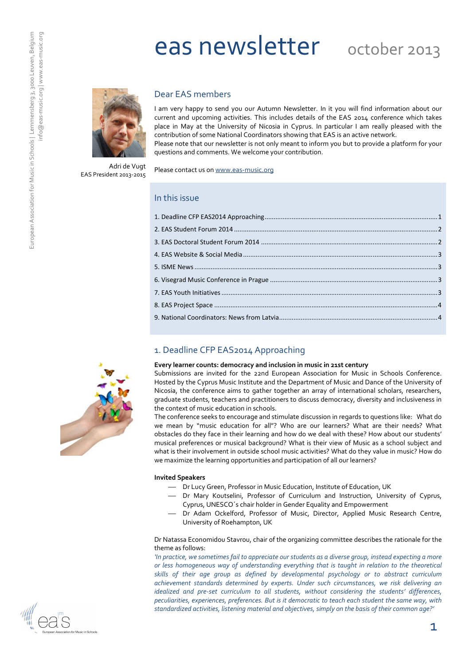# eas newsletter october 2013



## Dear EAS members

I am very happy to send you our Autumn Newsletter. In it you will find information about our current and upcoming activities. This includes details of the EAS 2014 conference which takes place in May at the University of Nicosia in Cyprus. In particular I am really pleased with the contribution of some National Coordinators showing that EAS is an active network. Please note that our newsletter is not only meant to inform you but to provide a platform for your questions and comments. We welcome your contribution.

Adri de Vugt EAS President 2013-2015 Please contact us on www.eas-music.org

| In this issue |  |
|---------------|--|
|               |  |
|               |  |
|               |  |
|               |  |
|               |  |
|               |  |
|               |  |
|               |  |
|               |  |

# 1. Deadline CFP EAS2014 Approaching

#### Every learner counts: democracy and inclusion in music in 21st century

Submissions are invited for the 22nd European Association for Music in Schools Conference. Hosted by the Cyprus Music Institute and the Department of Music and Dance of the University of Nicosia, the conference aims to gather together an array of international scholars, researchers, graduate students, teachers and practitioners to discuss democracy, diversity and inclusiveness in the context of music education in schools.

The conference seeks to encourage and stimulate discussion in regards to questions like: What do we mean by "music education for all"? Who are our learners? What are their needs? What obstacles do they face in their learning and how do we deal with these? How about our students' musical preferences or musical background? What is their view of Music as a school subject and what is their involvement in outside school music activities? What do they value in music? How do we maximize the learning opportunities and participation of all our learners?

#### Invited Speakers

- Dr Lucy Green, Professor in Music Education, Institute of Education, UK
	- Dr Mary Koutselini, Professor of Curriculum and Instruction, University of Cyprus, Cyprus, UNESCO´s chair holder in Gender Equality and Empowerment
- Dr Adam Ockelford, Professor of Music, Director, Applied Music Research Centre, University of Roehampton, UK

Dr Natassa Economidou Stavrou, chair of the organizing committee describes the rationale for the theme as follows:

'In practice, we sometimes fail to appreciate our students as a diverse group, instead expecting a more or less homogeneous way of understanding everything that is taught in relation to the theoretical skills of their age group as defined by developmental psychology or to abstract curriculum achievement standards determined by experts. Under such circumstances, we risk delivering an idealized and pre-set curriculum to all students, without considering the students' differences, peculiarities, experiences, preferences. But is it democratic to teach each student the same way, with standardized activities, listening material and objectives, simply on the basis of their common age?'





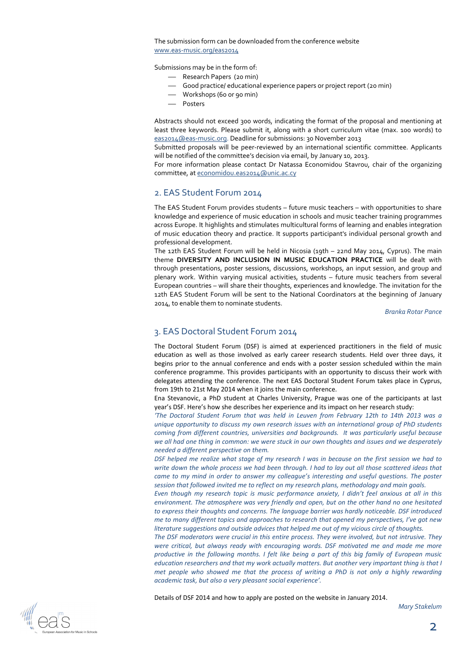The submission form can be downloaded from the conference website www.eas-music.org/eas2014

Submissions may be in the form of:

- Research Papers (20 min)
- Good practice/ educational experience papers or project report (20 min)
- Workshops (60 or 90 min)
- Posters

Abstracts should not exceed 300 words, indicating the format of the proposal and mentioning at least three keywords. Please submit it, along with a short curriculum vitae (max. 100 words) to eas2014@eas-music.org. Deadline for submissions: 30 November 2013

Submitted proposals will be peer-reviewed by an international scientific committee. Applicants will be notified of the committee's decision via email, by January 10, 2013.

For more information please contact Dr Natassa Economidou Stavrou, chair of the organizing committee, at economidou.eas2014@unic.ac.cy

## 2. EAS Student Forum 2014

The EAS Student Forum provides students – future music teachers – with opportunities to share knowledge and experience of music education in schools and music teacher training programmes across Europe. It highlights and stimulates multicultural forms of learning and enables integration of music education theory and practice. It supports participant's individual personal growth and professional development.

The 12th EAS Student Forum will be held in Nicosia (19th – 22nd May 2014, Cyprus). The main theme DIVERSITY AND INCLUSION IN MUSIC EDUCATION PRACTICE will be dealt with through presentations, poster sessions, discussions, workshops, an input session, and group and plenary work. Within varying musical activities, students – future music teachers from several European countries – will share their thoughts, experiences and knowledge. The invitation for the 12th EAS Student Forum will be sent to the National Coordinators at the beginning of January 2014, to enable them to nominate students.

Branka Rotar Pance

## 3. EAS Doctoral Student Forum 2014

The Doctoral Student Forum (DSF) is aimed at experienced practitioners in the field of music education as well as those involved as early career research students. Held over three days, it begins prior to the annual conference and ends with a poster session scheduled within the main conference programme. This provides participants with an opportunity to discuss their work with delegates attending the conference. The next EAS Doctoral Student Forum takes place in Cyprus, from 19th to 21st May 2014 when it joins the main conference.

Ena Stevanovic, a PhD student at Charles University, Prague was one of the participants at last year's DSF. Here's how she describes her experience and its impact on her research study:

'The Doctoral Student Forum that was held in Leuven from February 12th to 14th 2013 was a unique opportunity to discuss my own research issues with an international group of PhD students coming from different countries, universities and backgrounds. It was particularly useful because we all had one thing in common: we were stuck in our own thoughts and issues and we desperately needed a different perspective on them.

DSF helped me realize what stage of my research I was in because on the first session we had to write down the whole process we had been through. I had to lay out all those scattered ideas that came to my mind in order to answer my colleague's interesting and useful questions. The poster session that followed invited me to reflect on my research plans, methodology and main goals.

Even though my research topic is music performance anxiety, I didn't feel anxious at all in this environment. The atmosphere was very friendly and open, but on the other hand no one hesitated to express their thoughts and concerns. The language barrier was hardly noticeable. DSF introduced me to many different topics and approaches to research that opened my perspectives, I've got new literature suggestions and outside advices that helped me out of my vicious circle of thoughts.

The DSF moderators were crucial in this entire process. They were involved, but not intrusive. They were critical, but always ready with encouraging words. DSF motivated me and made me more productive in the following months. I felt like being a part of this big family of European music education researchers and that my work actually matters. But another very important thing is that I met people who showed me that the process of writing a PhD is not only a highly rewarding academic task, but also a very pleasant social experience'.

Details of DSF 2014 and how to apply are posted on the website in January 2014.

Mary Stakelum

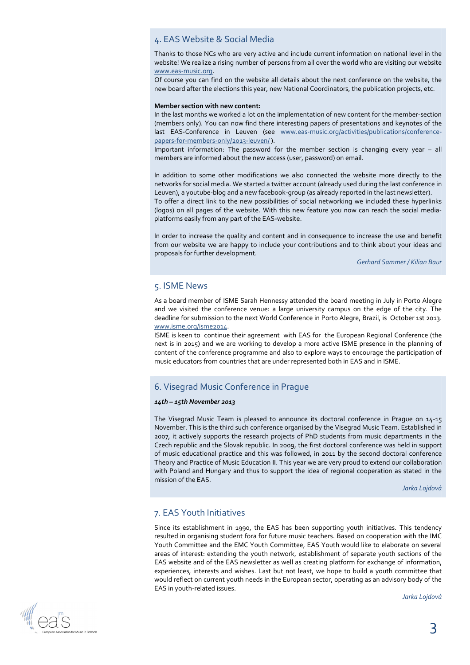# 4. EAS Website & Social Media

Thanks to those NCs who are very active and include current information on national level in the website! We realize a rising number of persons from all over the world who are visiting our website www.eas-music.org.

Of course you can find on the website all details about the next conference on the website, the new board after the elections this year, new National Coordinators, the publication projects, etc.

#### Member section with new content:

In the last months we worked a lot on the implementation of new content for the member-section (members only). You can now find there interesting papers of presentations and keynotes of the last EAS-Conference in Leuven (see www.eas-music.org/activities/publications/conferencepapers-for-members-only/2013-leuven/).

Important information: The password for the member section is changing every year – all members are informed about the new access (user, password) on email.

In addition to some other modifications we also connected the website more directly to the networks for social media. We started a twitter account (already used during the last conference in Leuven), a youtube-blog and a new facebook-group (as already reported in the last newsletter). To offer a direct link to the new possibilities of social networking we included these hyperlinks (logos) on all pages of the website. With this new feature you now can reach the social mediaplatforms easily from any part of the EAS-website.

In order to increase the quality and content and in consequence to increase the use and benefit from our website we are happy to include your contributions and to think about your ideas and proposals for further development.

Gerhard Sammer / Kilian Baur

## 5. ISME News

As a board member of ISME Sarah Hennessy attended the board meeting in July in Porto Alegre and we visited the conference venue: a large university campus on the edge of the city. The deadline for submission to the next World Conference in Porto Alegre, Brazil, is October 1st 2013. www.isme.org/isme2014.

ISME is keen to continue their agreement with EAS for the European Regional Conference (the next is in 2015) and we are working to develop a more active ISME presence in the planning of content of the conference programme and also to explore ways to encourage the participation of music educators from countries that are under represented both in EAS and in ISME.

# 6. Visegrad Music Conference in Prague

#### 14th – 15th November 2013

The Visegrad Music Team is pleased to announce its doctoral conference in Prague on 14-15 November. This is the third such conference organised by the Visegrad Music Team. Established in 2007, it actively supports the research projects of PhD students from music departments in the Czech republic and the Slovak republic. In 2009, the first doctoral conference was held in support of music educational practice and this was followed, in 2011 by the second doctoral conference Theory and Practice of Music Education II. This year we are very proud to extend our collaboration with Poland and Hungary and thus to support the idea of regional cooperation as stated in the mission of the EAS.

Jarka Lojdová

# 7. EAS Youth Initiatives

Since its establishment in 1990, the EAS has been supporting youth initiatives. This tendency resulted in organising student fora for future music teachers. Based on cooperation with the IMC Youth Committee and the EMC Youth Committee, EAS Youth would like to elaborate on several areas of interest: extending the youth network, establishment of separate youth sections of the EAS website and of the EAS newsletter as well as creating platform for exchange of information, experiences, interests and wishes. Last but not least, we hope to build a youth committee that would reflect on current youth needs in the European sector, operating as an advisory body of the EAS in youth-related issues.

Jarka Lojdová